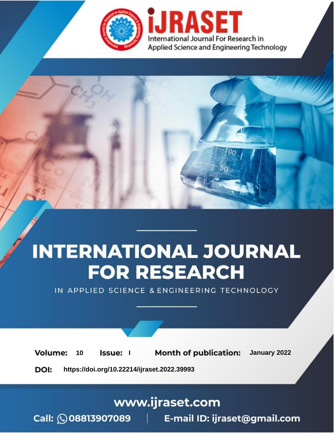

# **INTERNATIONAL JOURNAL FOR RESEARCH**

IN APPLIED SCIENCE & ENGINEERING TECHNOLOGY

**Month of publication:** January 2022 **Volume:** 10 **Issue:** I

DOI: https://doi.org/10.22214/ijraset.2022.39993

www.ijraset.com

Call: 008813907089 | E-mail ID: ijraset@gmail.com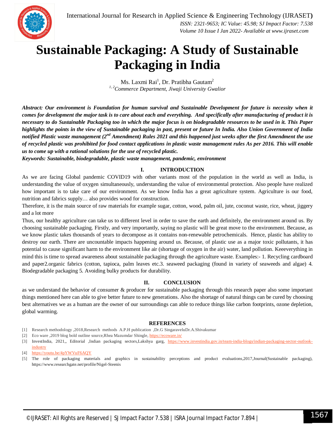### **Sustainable Packaging: A Study of Sustainable Packaging in India**

Ms. Laxmi Rai $^{\rm l}$ , Dr. Pratibha Gautam $^{\rm 2}$ *1, 2Commerce Department, Jiwaji University Gwalior*

*Abstract: Our environment is Foundation for human survival and Sustainable Development for future is necessity when it comes for development the major task is to care about each and everything. And specifically after manufacturing of product it is necessary to do Sustainable Packaging too in which the major focus is on biodegradable resources to be used in it. This Paper highlights the points in the view of Sustainable packaging in past, present or future In India. Also Union Government of India notified Plastic waste management (2nd Amendment) Rules 2021 and this happened just weeks after the first Amendment the use of recycled plastic was prohibited for food contact applications in plastic waste management rules As per 2016. This will enable us to come up with a rational solutions for the use of recycled plastic.*

*Keywords: Sustainable, biodegradable, plastic waste management, pandemic, environment*

#### **I. INTRODUCTION**

As we are facing Global pandemic COVID19 with other variants most of the population in the world as well as India, is understanding the value of oxygen simultaneously, understanding the value of environmental protection. Also people have realized how important is to take care of our environment. As we know India has a great agriculture system. Agriculture is our food, nutrition and fabrics supply… also provides wood for construction.

Therefore, it is the main source of raw materials for example sugar, cotton, wood, palm oil, jute, coconut waste, rice, wheat, jiggery and a lot more

Thus, our healthy agriculture can take us to different level in order to save the earth and definitely, the environment around us. By choosing sustainable packaging. Firstly, and very importantly, saying no plastic will be great move to the environment. Because, as we know plastic takes thousands of years to decompose as it contains non-renewable petrochemicals. Hence, plastic has ability to destroy our earth. There are uncountable impacts happening around us. Because, of plastic use as a major toxic pollutants, it has potential to cause significant harm to the environment like air (shortage of oxygen in the air) water, land pollution. Keeeverything in mind this is time to spread awareness about sustainable packaging through the agriculture waste. Examples:- 1. Recycling cardboard and paper2.organic fabrics (cotton, tapioca, palm leaves etc.3. seaweed packaging (found in variety of seaweeds and algae) 4. Biodegradable packaging 5. Avoiding bulky products for durability.

#### **II. CONCLUSION**

as we understand the behavior of consumer & producer for sustainable packaging through this research paper also some important things mentioned here can able to give better future to new generations. Also the shortage of natural things can be cured by choosing best alternatives we as a human are the owner of our surroundings can able to reduce things like carbon footprints, ozone depletion, global warming.

#### **REFERENCES**

- [1] Research methodology ,2018,Research methods A.P.H publication ,Dr.G SingaraveluDr.A.Shivakumar
- [2] Eco ware ,2019 blog bold outline source,Rhea Mazumdar Shingle, https://ecoware.in/
- [3] InvestIndia, 2021,, Editorial ,Indian packaging sectors,Lakshya garg, https://www.investindia.gov.in/team-india-blogs/indian-packaging-sector-outlookindustry

[5] The role of packaging materials and graphics in sustainability perceptions and product evaluations,2017,Journal(Sustainable packaging), https://www.researchgate.net/profile/Nigel-Steenis

<sup>[4]</sup> https://youtu.be/4pYWVuF6AQY